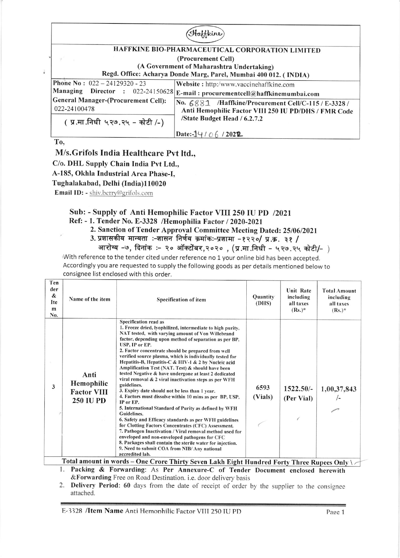## Haffkine

## HAFFKINE BIO-PHARMACEUTICAL CORPORATION LIMITED (Procurement Cell) (A Government of Maharashtra Undertaking)

Regd. Office: Acharya Donde Marg, Parel, Mumbai400 012. ( INDIA)

Website: http:/www.vaccinehaffkine.com E-mail : procurementcell@haflkinemumbai.com Phone No:  $022 - 24129320 - 23$ Managing Director : 022-24150628 General Manager-(Procurement Cell): 022-24100478 No.  $6881$  /Haffkine/Procurement Cell/C-115 / E-3328 / Anti Hemophilic Factor VIII 250 IU PD/DHS / FMR Codc /State Budget Head / 6.2.7.2

( प्र.मा.निधी ५२७.२५ - कोटी /-)

Date:- $14/06/2022$ 

To,

M/s.Grifols India Healthcare Pvt ltd.,

C/o. DHL Supply Chain India Pvt Ltd.,

A-185, Okhla Industrial Area Phase-I,

Tughalakabad, Delhi (India)l 10020

Email ID: - shiv.berry@grifols.com

## Sub: - Supply of Anti Hemophilic Factor VIII 250 IU PD /2021

Ref: - 1. Tender No. E-3328 /Hemophilia Factor / 2020-2021

- 2. Sanction of Tender Approval Committee Meeting Dated: 25/06/2021
- 3. प्रशासकीय मान्यता :-शासन निर्णय क्रमांकः-प्रशामा -१२२०/ प्र.क्र. ३१ /

आरोग्य -७, दिनांक :- २० ऑक्टोंबर,२०२० , (प्र.मा.निधी - ५२७.२५ कोटी/- )

With reference to the tender cited under reference no 1 your online bid has been accepted. Accordingly you are requested to supply the following goods as per details mentioned below to consignee list enclosed with this order.

| Ten<br>der<br>&<br>Ite<br>m<br>No. | Name of the item                                             | Specification of item                                                                                                                                                                                                                                                                                                                                                                                                                                                                                                                                                                                                                                                                                                                                                                                                                                                                                                                                                                                                                                                                                                                                                                                                                                                                                                                                             | Quantity<br>(DHS) | <b>Unit Rate</b><br>including<br>all taxes<br>$(Rs.)^*$ | <b>Total Amount</b><br>including<br>all taxes<br>$(Rs.)^*$ |
|------------------------------------|--------------------------------------------------------------|-------------------------------------------------------------------------------------------------------------------------------------------------------------------------------------------------------------------------------------------------------------------------------------------------------------------------------------------------------------------------------------------------------------------------------------------------------------------------------------------------------------------------------------------------------------------------------------------------------------------------------------------------------------------------------------------------------------------------------------------------------------------------------------------------------------------------------------------------------------------------------------------------------------------------------------------------------------------------------------------------------------------------------------------------------------------------------------------------------------------------------------------------------------------------------------------------------------------------------------------------------------------------------------------------------------------------------------------------------------------|-------------------|---------------------------------------------------------|------------------------------------------------------------|
| 3                                  | Anti<br>Hemophilic<br><b>Factor VIII</b><br><b>250 IU PD</b> | Specification read as<br>1. Freeze dried, lyophilized, intermediate to high purity,<br>NAT tested, with varying amount of Von Willebrand<br>factor, depending upon method of separation as per BP,<br>USP, IP or EP.<br>2. Factor concentrate should be prepared from well<br>verified source plasma, which is individually tested for<br>Hepatitis-B, Hepatitis-C & HIV-1 & 2 by Nucleic acid<br>Amplification Test (NAT. Test) & should have been<br>tested Negative & have undergone at least 2 dedicated<br>viral removal & 2 viral inactivation steps as per WFH<br>guidelines.<br>3. Expiry date should not be less than 1 year.<br>4. Factors must dissolve within 10 mins as per BP, USP,<br>IP or EP.<br>5. International Standard of Purity as defined by WFH<br><b>Guidelines.</b><br>6. Safety and Efficacy standards as per WFH guidelines<br>for Clotting Factors Concentrates (CFC) Assessment.<br>7. Pathogen Inactivation / Viral removal method used for<br>enveloped and non-enveloped pathogens for CFC<br>8. Packages shall contain the sterile water for injection.<br>9. Need to submit COA from NIB/ Any national<br>accredited lab.<br>$Total amount in model.$ $Q_{\text{max}}$ , $T_{\text{max}}$ , $R_{\text{max}}$ , $T_{\text{max}}$ , $T_{\text{max}}$ , $T_{\text{max}}$ , $T_{\text{max}}$ , $T_{\text{max}}$ , $T_{\text{max}}$ | 6593<br>(Vials)   | $1522.50/-$<br>(Per Vial)<br>$-1$                       | 1,00,37,843                                                |

Packing & Forwarding: As Per Annexure-C of Tender Document enclosed herewith  $&$  Forwarding Free on Road Destination. i.e. door delivery basis Total amount in words – One Crore Thirty Seven Lakh Eight Hundred Forty Three Rupees Only \ $\sim$ 

2. Delivery Period: 60 days from the date of receipt of order by the supplier to the consignee attached.

E-3328 /Item Name Anti Hemonhilic Factor VIII 250 IU PD